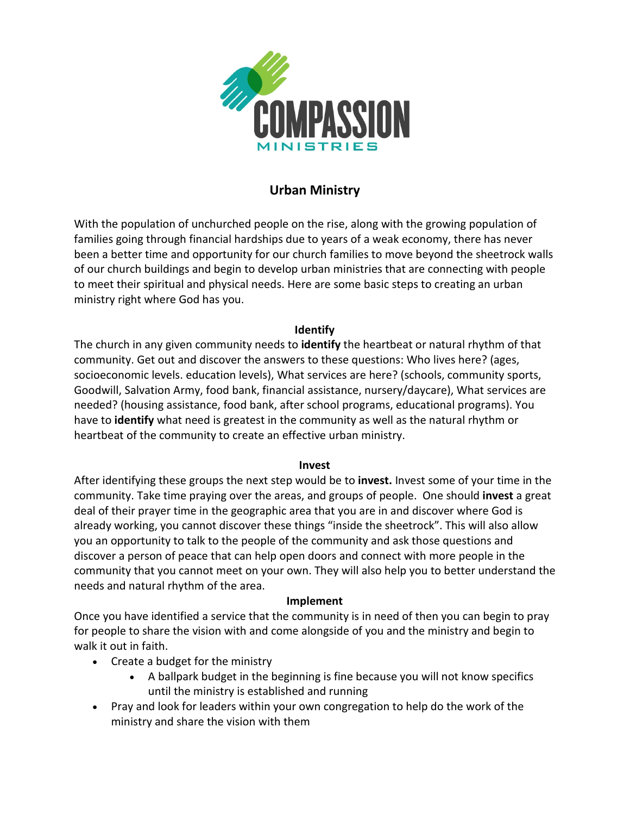

## **Urban Ministry**

With the population of unchurched people on the rise, along with the growing population of families going through financial hardships due to years of a weak economy, there has never been a better time and opportunity for our church families to move beyond the sheetrock walls of our church buildings and begin to develop urban ministries that are connecting with people to meet their spiritual and physical needs. Here are some basic steps to creating an urban ministry right where God has you.

## **Identify**

The church in any given community needs to **identify** the heartbeat or natural rhythm of that community. Get out and discover the answers to these questions: Who lives here? (ages, socioeconomic levels. education levels), What services are here? (schools, community sports, Goodwill, Salvation Army, food bank, financial assistance, nursery/daycare), What services are needed? (housing assistance, food bank, after school programs, educational programs). You have to **identify** what need is greatest in the community as well as the natural rhythm or heartbeat of the community to create an effective urban ministry.

## **Invest**

After identifying these groups the next step would be to **invest.** Invest some of your time in the community. Take time praying over the areas, and groups of people. One should **invest** a great deal of their prayer time in the geographic area that you are in and discover where God is already working, you cannot discover these things "inside the sheetrock". This will also allow you an opportunity to talk to the people of the community and ask those questions and discover a person of peace that can help open doors and connect with more people in the community that you cannot meet on your own. They will also help you to better understand the needs and natural rhythm of the area.

## **Implement**

Once you have identified a service that the community is in need of then you can begin to pray for people to share the vision with and come alongside of you and the ministry and begin to walk it out in faith.

- Create a budget for the ministry
	- A ballpark budget in the beginning is fine because you will not know specifics until the ministry is established and running
- Pray and look for leaders within your own congregation to help do the work of the ministry and share the vision with them